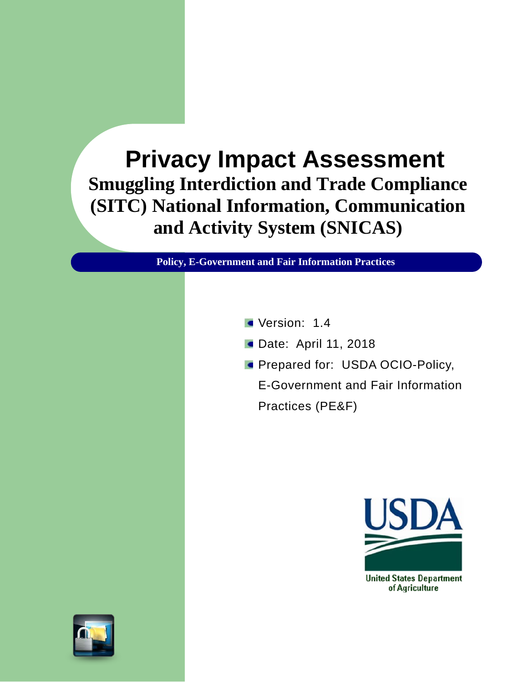# **Privacy Impact Assessment Smuggling Interdiction and Trade Compliance (SITC) National Information, Communication and Activity System (SNICAS)**

**Policy, E-Government and Fair Information Practices**

- Version: 1.4
- **Date: April 11, 2018**
- **Prepared for: USDA OCIO-Policy,**

E-Government and Fair Information Practices (PE&F)



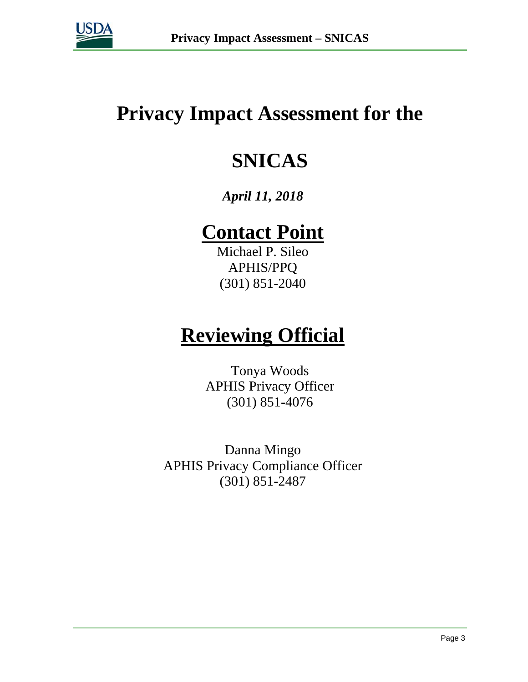

## **Privacy Impact Assessment for the**

# **SNICAS**

## *April 11, 2018*

# **Contact Point**

Michael P. Sileo APHIS/PPQ (301) 851-2040

# **Reviewing Official**

Tonya Woods APHIS Privacy Officer (301) 851-4076

Danna Mingo APHIS Privacy Compliance Officer (301) 851-2487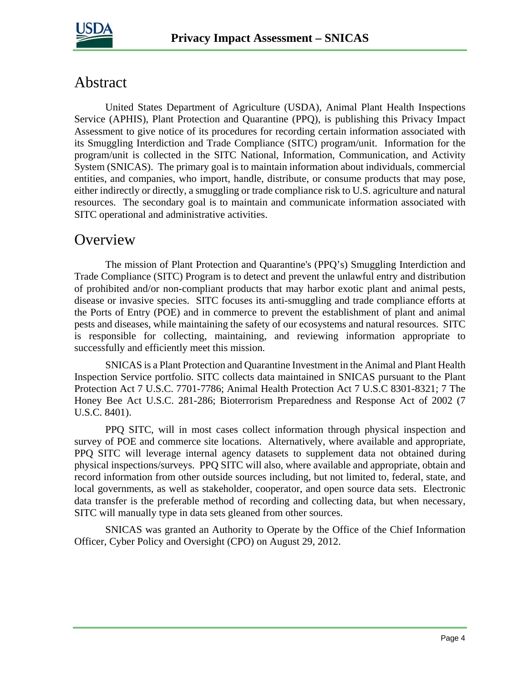

## Abstract

United States Department of Agriculture (USDA), Animal Plant Health Inspections Service (APHIS), Plant Protection and Quarantine (PPQ), is publishing this Privacy Impact Assessment to give notice of its procedures for recording certain information associated with its Smuggling Interdiction and Trade Compliance (SITC) program/unit. Information for the program/unit is collected in the SITC National, Information, Communication, and Activity System (SNICAS). The primary goal is to maintain information about individuals, commercial entities, and companies, who import, handle, distribute, or consume products that may pose, either indirectly or directly, a smuggling or trade compliance risk to U.S. agriculture and natural resources. The secondary goal is to maintain and communicate information associated with SITC operational and administrative activities.

### **Overview**

The mission of Plant Protection and Quarantine's (PPQ's) Smuggling Interdiction and Trade Compliance (SITC) Program is to detect and prevent the unlawful entry and distribution of prohibited and/or non-compliant products that may harbor exotic plant and animal pests, disease or invasive species. SITC focuses its anti-smuggling and trade compliance efforts at the Ports of Entry (POE) and in commerce to prevent the establishment of plant and animal pests and diseases, while maintaining the safety of our ecosystems and natural resources. SITC is responsible for collecting, maintaining, and reviewing information appropriate to successfully and efficiently meet this mission.

SNICAS is a Plant Protection and Quarantine Investment in the Animal and Plant Health Inspection Service portfolio. SITC collects data maintained in SNICAS pursuant to the Plant Protection Act 7 U.S.C. 7701-7786; Animal Health Protection Act 7 U.S.C 8301-8321; 7 The Honey Bee Act U.S.C. 281-286; Bioterrorism Preparedness and Response Act of 2002 (7 U.S.C. 8401).

PPQ SITC, will in most cases collect information through physical inspection and survey of POE and commerce site locations. Alternatively, where available and appropriate, PPQ SITC will leverage internal agency datasets to supplement data not obtained during physical inspections/surveys. PPQ SITC will also, where available and appropriate, obtain and record information from other outside sources including, but not limited to, federal, state, and local governments, as well as stakeholder, cooperator, and open source data sets. Electronic data transfer is the preferable method of recording and collecting data, but when necessary, SITC will manually type in data sets gleaned from other sources.

SNICAS was granted an Authority to Operate by the Office of the Chief Information Officer, Cyber Policy and Oversight (CPO) on August 29, 2012.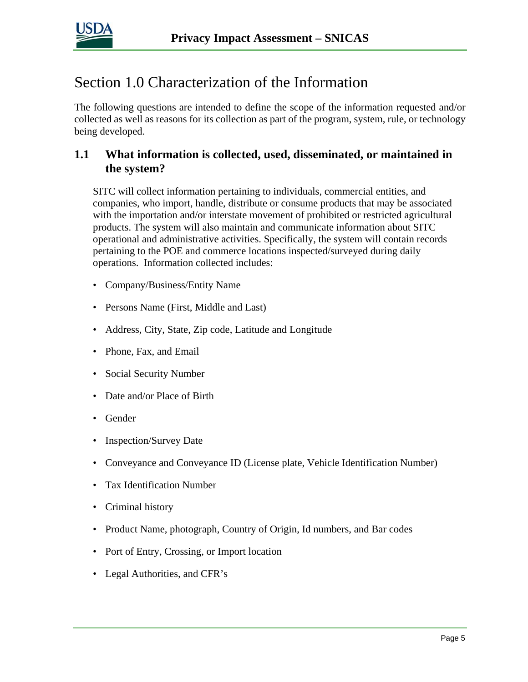

## Section 1.0 Characterization of the Information

The following questions are intended to define the scope of the information requested and/or collected as well as reasons for its collection as part of the program, system, rule, or technology being developed.

#### **1.1 What information is collected, used, disseminated, or maintained in the system?**

SITC will collect information pertaining to individuals, commercial entities, and companies, who import, handle, distribute or consume products that may be associated with the importation and/or interstate movement of prohibited or restricted agricultural products. The system will also maintain and communicate information about SITC operational and administrative activities. Specifically, the system will contain records pertaining to the POE and commerce locations inspected/surveyed during daily operations. Information collected includes:

- Company/Business/Entity Name
- Persons Name (First, Middle and Last)
- Address, City, State, Zip code, Latitude and Longitude
- Phone, Fax, and Email
- Social Security Number
- Date and/or Place of Birth
- Gender
- Inspection/Survey Date
- Conveyance and Conveyance ID (License plate, Vehicle Identification Number)
- Tax Identification Number
- Criminal history
- Product Name, photograph, Country of Origin, Id numbers, and Bar codes
- Port of Entry, Crossing, or Import location
- Legal Authorities, and CFR's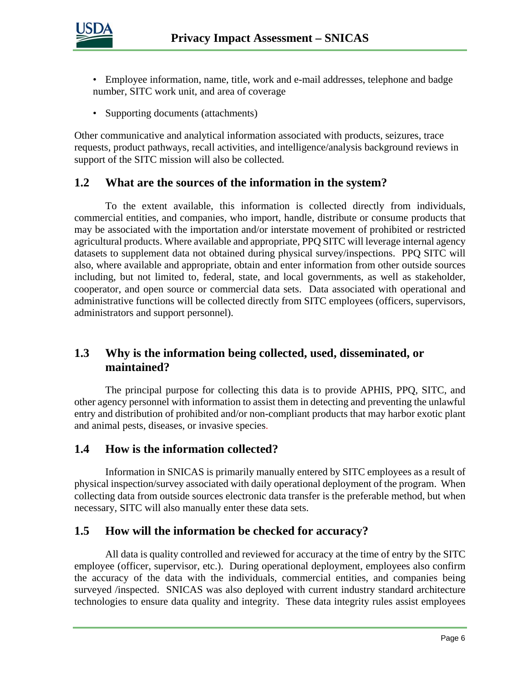

- Employee information, name, title, work and e-mail addresses, telephone and badge number, SITC work unit, and area of coverage
- Supporting documents (attachments)

Other communicative and analytical information associated with products, seizures, trace requests, product pathways, recall activities, and intelligence/analysis background reviews in support of the SITC mission will also be collected.

#### **1.2 What are the sources of the information in the system?**

To the extent available, this information is collected directly from individuals, commercial entities, and companies, who import, handle, distribute or consume products that may be associated with the importation and/or interstate movement of prohibited or restricted agricultural products. Where available and appropriate, PPQ SITC will leverage internal agency datasets to supplement data not obtained during physical survey/inspections. PPQ SITC will also, where available and appropriate, obtain and enter information from other outside sources including, but not limited to, federal, state, and local governments, as well as stakeholder, cooperator, and open source or commercial data sets. Data associated with operational and administrative functions will be collected directly from SITC employees (officers, supervisors, administrators and support personnel).

#### **1.3 Why is the information being collected, used, disseminated, or maintained?**

The principal purpose for collecting this data is to provide APHIS, PPQ, SITC, and other agency personnel with information to assist them in detecting and preventing the unlawful entry and distribution of prohibited and/or non-compliant products that may harbor exotic plant and animal pests, diseases, or invasive species.

#### **1.4 How is the information collected?**

Information in SNICAS is primarily manually entered by SITC employees as a result of physical inspection/survey associated with daily operational deployment of the program. When collecting data from outside sources electronic data transfer is the preferable method, but when necessary, SITC will also manually enter these data sets.

#### **1.5 How will the information be checked for accuracy?**

All data is quality controlled and reviewed for accuracy at the time of entry by the SITC employee (officer, supervisor, etc.). During operational deployment, employees also confirm the accuracy of the data with the individuals, commercial entities, and companies being surveyed /inspected. SNICAS was also deployed with current industry standard architecture technologies to ensure data quality and integrity. These data integrity rules assist employees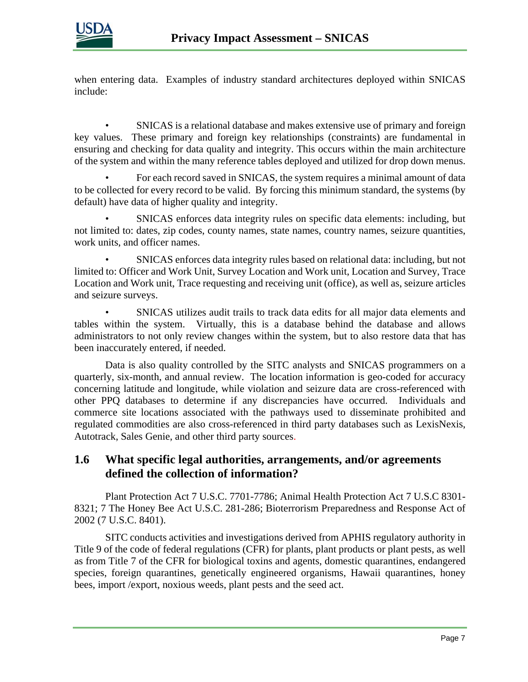

when entering data. Examples of industry standard architectures deployed within SNICAS include:

• SNICAS is a relational database and makes extensive use of primary and foreign key values. These primary and foreign key relationships (constraints) are fundamental in ensuring and checking for data quality and integrity. This occurs within the main architecture of the system and within the many reference tables deployed and utilized for drop down menus.

• For each record saved in SNICAS, the system requires a minimal amount of data to be collected for every record to be valid. By forcing this minimum standard, the systems (by default) have data of higher quality and integrity.

• SNICAS enforces data integrity rules on specific data elements: including, but not limited to: dates, zip codes, county names, state names, country names, seizure quantities, work units, and officer names.

• SNICAS enforces data integrity rules based on relational data: including, but not limited to: Officer and Work Unit, Survey Location and Work unit, Location and Survey, Trace Location and Work unit, Trace requesting and receiving unit (office), as well as, seizure articles and seizure surveys.

• SNICAS utilizes audit trails to track data edits for all major data elements and tables within the system. Virtually, this is a database behind the database and allows administrators to not only review changes within the system, but to also restore data that has been inaccurately entered, if needed.

Data is also quality controlled by the SITC analysts and SNICAS programmers on a quarterly, six-month, and annual review. The location information is geo-coded for accuracy concerning latitude and longitude, while violation and seizure data are cross-referenced with other PPQ databases to determine if any discrepancies have occurred. Individuals and commerce site locations associated with the pathways used to disseminate prohibited and regulated commodities are also cross-referenced in third party databases such as LexisNexis, Autotrack, Sales Genie, and other third party sources.

#### **1.6 What specific legal authorities, arrangements, and/or agreements defined the collection of information?**

Plant Protection Act 7 U.S.C. 7701-7786; Animal Health Protection Act 7 U.S.C 8301- 8321; 7 The Honey Bee Act U.S.C. 281-286; Bioterrorism Preparedness and Response Act of 2002 (7 U.S.C. 8401).

SITC conducts activities and investigations derived from APHIS regulatory authority in Title 9 of the code of federal regulations (CFR) for plants, plant products or plant pests, as well as from Title 7 of the CFR for biological toxins and agents, domestic quarantines, endangered species, foreign quarantines, genetically engineered organisms, Hawaii quarantines, honey bees, import /export, noxious weeds, plant pests and the seed act.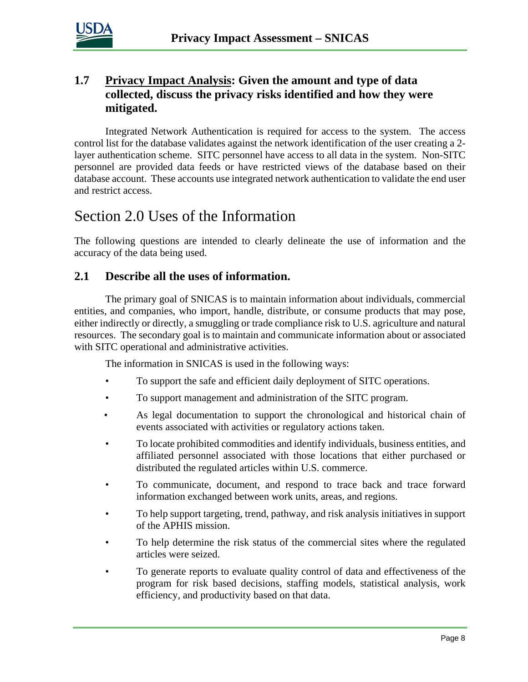

#### **1.7 Privacy Impact Analysis: Given the amount and type of data collected, discuss the privacy risks identified and how they were mitigated.**

Integrated Network Authentication is required for access to the system. The access control list for the database validates against the network identification of the user creating a 2 layer authentication scheme. SITC personnel have access to all data in the system. Non-SITC personnel are provided data feeds or have restricted views of the database based on their database account. These accounts use integrated network authentication to validate the end user and restrict access.

### Section 2.0 Uses of the Information

The following questions are intended to clearly delineate the use of information and the accuracy of the data being used.

#### **2.1 Describe all the uses of information.**

The primary goal of SNICAS is to maintain information about individuals, commercial entities, and companies, who import, handle, distribute, or consume products that may pose, either indirectly or directly, a smuggling or trade compliance risk to U.S. agriculture and natural resources. The secondary goal is to maintain and communicate information about or associated with SITC operational and administrative activities.

The information in SNICAS is used in the following ways:

- To support the safe and efficient daily deployment of SITC operations.
- To support management and administration of the SITC program.
- As legal documentation to support the chronological and historical chain of events associated with activities or regulatory actions taken.
- To locate prohibited commodities and identify individuals, business entities, and affiliated personnel associated with those locations that either purchased or distributed the regulated articles within U.S. commerce.
- To communicate, document, and respond to trace back and trace forward information exchanged between work units, areas, and regions.
- To help support targeting, trend, pathway, and risk analysis initiatives in support of the APHIS mission.
- To help determine the risk status of the commercial sites where the regulated articles were seized.
- To generate reports to evaluate quality control of data and effectiveness of the program for risk based decisions, staffing models, statistical analysis, work efficiency, and productivity based on that data.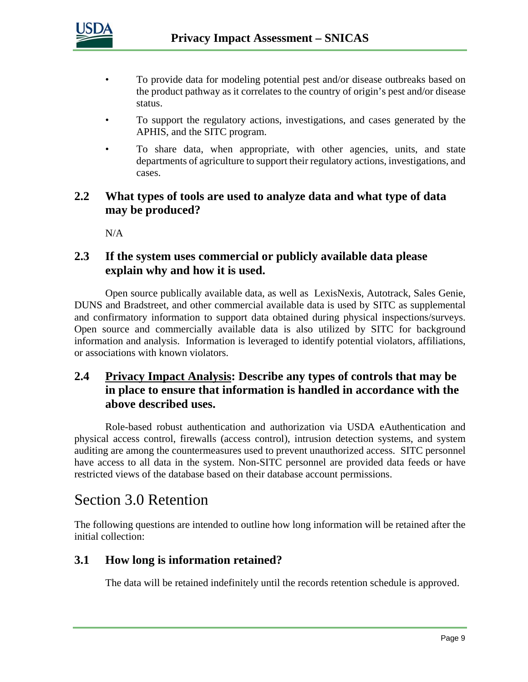

- To provide data for modeling potential pest and/or disease outbreaks based on the product pathway as it correlates to the country of origin's pest and/or disease status.
- To support the regulatory actions, investigations, and cases generated by the APHIS, and the SITC program.
- To share data, when appropriate, with other agencies, units, and state departments of agriculture to support their regulatory actions, investigations, and cases.

#### **2.2 What types of tools are used to analyze data and what type of data may be produced?**

N/A

#### **2.3 If the system uses commercial or publicly available data please explain why and how it is used.**

Open source publically available data, as well as LexisNexis, Autotrack, Sales Genie, DUNS and Bradstreet, and other commercial available data is used by SITC as supplemental and confirmatory information to support data obtained during physical inspections/surveys. Open source and commercially available data is also utilized by SITC for background information and analysis. Information is leveraged to identify potential violators, affiliations, or associations with known violators.

#### **2.4 Privacy Impact Analysis: Describe any types of controls that may be in place to ensure that information is handled in accordance with the above described uses.**

Role-based robust authentication and authorization via USDA eAuthentication and physical access control, firewalls (access control), intrusion detection systems, and system auditing are among the countermeasures used to prevent unauthorized access. SITC personnel have access to all data in the system. Non-SITC personnel are provided data feeds or have restricted views of the database based on their database account permissions.

### Section 3.0 Retention

The following questions are intended to outline how long information will be retained after the initial collection:

#### **3.1 How long is information retained?**

The data will be retained indefinitely until the records retention schedule is approved.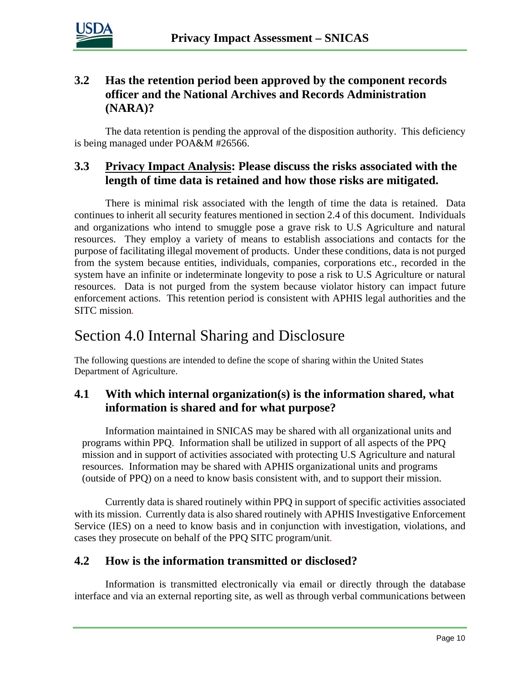

#### **3.2 Has the retention period been approved by the component records officer and the National Archives and Records Administration (NARA)?**

The data retention is pending the approval of the disposition authority. This deficiency is being managed under POA&M #26566.

#### **3.3 Privacy Impact Analysis: Please discuss the risks associated with the length of time data is retained and how those risks are mitigated.**

There is minimal risk associated with the length of time the data is retained. Data continues to inherit all security features mentioned in section 2.4 of this document. Individuals and organizations who intend to smuggle pose a grave risk to U.S Agriculture and natural resources. They employ a variety of means to establish associations and contacts for the purpose of facilitating illegal movement of products. Under these conditions, data is not purged from the system because entities, individuals, companies, corporations etc., recorded in the system have an infinite or indeterminate longevity to pose a risk to U.S Agriculture or natural resources. Data is not purged from the system because violator history can impact future enforcement actions. This retention period is consistent with APHIS legal authorities and the SITC mission*.*

## Section 4.0 Internal Sharing and Disclosure

The following questions are intended to define the scope of sharing within the United States Department of Agriculture.

#### **4.1 With which internal organization(s) is the information shared, what information is shared and for what purpose?**

 Information maintained in SNICAS may be shared with all organizational units and programs within PPQ. Information shall be utilized in support of all aspects of the PPQ mission and in support of activities associated with protecting U.S Agriculture and natural resources. Information may be shared with APHIS organizational units and programs (outside of PPQ) on a need to know basis consistent with, and to support their mission.

Currently data is shared routinely within PPQ in support of specific activities associated with its mission. Currently data is also shared routinely with APHIS Investigative Enforcement Service (IES) on a need to know basis and in conjunction with investigation, violations, and cases they prosecute on behalf of the PPQ SITC program/unit*.* 

#### **4.2 How is the information transmitted or disclosed?**

Information is transmitted electronically via email or directly through the database interface and via an external reporting site, as well as through verbal communications between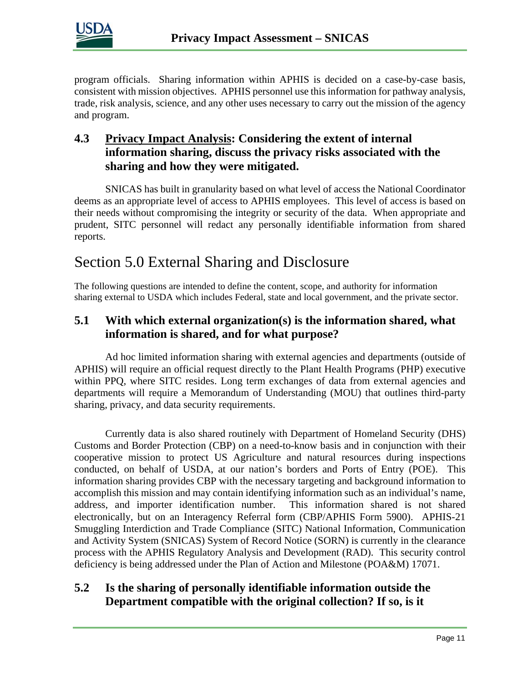

program officials. Sharing information within APHIS is decided on a case-by-case basis, consistent with mission objectives. APHIS personnel use this information for pathway analysis, trade, risk analysis, science, and any other uses necessary to carry out the mission of the agency and program.

#### **4.3 Privacy Impact Analysis: Considering the extent of internal information sharing, discuss the privacy risks associated with the sharing and how they were mitigated.**

SNICAS has built in granularity based on what level of access the National Coordinator deems as an appropriate level of access to APHIS employees. This level of access is based on their needs without compromising the integrity or security of the data. When appropriate and prudent, SITC personnel will redact any personally identifiable information from shared reports.

## Section 5.0 External Sharing and Disclosure

The following questions are intended to define the content, scope, and authority for information sharing external to USDA which includes Federal, state and local government, and the private sector.

#### **5.1 With which external organization(s) is the information shared, what information is shared, and for what purpose?**

Ad hoc limited information sharing with external agencies and departments (outside of APHIS) will require an official request directly to the Plant Health Programs (PHP) executive within PPQ, where SITC resides. Long term exchanges of data from external agencies and departments will require a Memorandum of Understanding (MOU) that outlines third-party sharing, privacy, and data security requirements.

Currently data is also shared routinely with Department of Homeland Security (DHS) Customs and Border Protection (CBP) on a need-to-know basis and in conjunction with their cooperative mission to protect US Agriculture and natural resources during inspections conducted, on behalf of USDA, at our nation's borders and Ports of Entry (POE). This information sharing provides CBP with the necessary targeting and background information to accomplish this mission and may contain identifying information such as an individual's name, address, and importer identification number. This information shared is not shared electronically, but on an Interagency Referral form (CBP/APHIS Form 5900). APHIS-21 Smuggling Interdiction and Trade Compliance (SITC) National Information, Communication and Activity System (SNICAS) System of Record Notice (SORN) is currently in the clearance process with the APHIS Regulatory Analysis and Development (RAD). This security control deficiency is being addressed under the Plan of Action and Milestone (POA&M) 17071.

#### **5.2 Is the sharing of personally identifiable information outside the Department compatible with the original collection? If so, is it**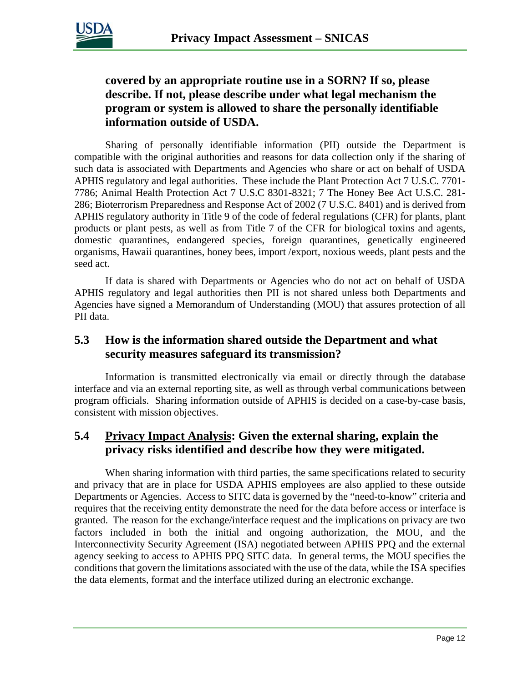

#### **covered by an appropriate routine use in a SORN? If so, please describe. If not, please describe under what legal mechanism the program or system is allowed to share the personally identifiable information outside of USDA.**

Sharing of personally identifiable information (PII) outside the Department is compatible with the original authorities and reasons for data collection only if the sharing of such data is associated with Departments and Agencies who share or act on behalf of USDA APHIS regulatory and legal authorities. These include the Plant Protection Act 7 U.S.C. 7701- 7786; Animal Health Protection Act 7 U.S.C 8301-8321; 7 The Honey Bee Act U.S.C. 281- 286; Bioterrorism Preparedness and Response Act of 2002 (7 U.S.C. 8401) and is derived from APHIS regulatory authority in Title 9 of the code of federal regulations (CFR) for plants, plant products or plant pests, as well as from Title 7 of the CFR for biological toxins and agents, domestic quarantines, endangered species, foreign quarantines, genetically engineered organisms, Hawaii quarantines, honey bees, import /export, noxious weeds, plant pests and the seed act.

If data is shared with Departments or Agencies who do not act on behalf of USDA APHIS regulatory and legal authorities then PII is not shared unless both Departments and Agencies have signed a Memorandum of Understanding (MOU) that assures protection of all PII data.

#### **5.3 How is the information shared outside the Department and what security measures safeguard its transmission?**

Information is transmitted electronically via email or directly through the database interface and via an external reporting site, as well as through verbal communications between program officials. Sharing information outside of APHIS is decided on a case-by-case basis, consistent with mission objectives.

#### **5.4 Privacy Impact Analysis: Given the external sharing, explain the privacy risks identified and describe how they were mitigated.**

When sharing information with third parties, the same specifications related to security and privacy that are in place for USDA APHIS employees are also applied to these outside Departments or Agencies. Access to SITC data is governed by the "need-to-know" criteria and requires that the receiving entity demonstrate the need for the data before access or interface is granted. The reason for the exchange/interface request and the implications on privacy are two factors included in both the initial and ongoing authorization, the MOU, and the Interconnectivity Security Agreement (ISA) negotiated between APHIS PPQ and the external agency seeking to access to APHIS PPQ SITC data. In general terms, the MOU specifies the conditions that govern the limitations associated with the use of the data, while the ISA specifies the data elements, format and the interface utilized during an electronic exchange.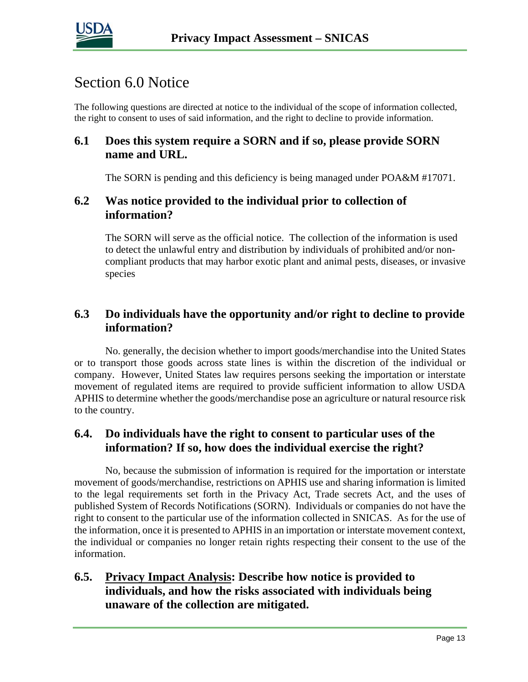

### Section 6.0 Notice

The following questions are directed at notice to the individual of the scope of information collected, the right to consent to uses of said information, and the right to decline to provide information.

#### **6.1 Does this system require a SORN and if so, please provide SORN name and URL.**

The SORN is pending and this deficiency is being managed under POA&M #17071.

#### **6.2 Was notice provided to the individual prior to collection of information?**

The SORN will serve as the official notice. The collection of the information is used to detect the unlawful entry and distribution by individuals of prohibited and/or noncompliant products that may harbor exotic plant and animal pests, diseases, or invasive species

#### **6.3 Do individuals have the opportunity and/or right to decline to provide information?**

No. generally, the decision whether to import goods/merchandise into the United States or to transport those goods across state lines is within the discretion of the individual or company. However, United States law requires persons seeking the importation or interstate movement of regulated items are required to provide sufficient information to allow USDA APHIS to determine whether the goods/merchandise pose an agriculture or natural resource risk to the country.

#### **6.4. Do individuals have the right to consent to particular uses of the information? If so, how does the individual exercise the right?**

No, because the submission of information is required for the importation or interstate movement of goods/merchandise, restrictions on APHIS use and sharing information is limited to the legal requirements set forth in the Privacy Act, Trade secrets Act, and the uses of published System of Records Notifications (SORN). Individuals or companies do not have the right to consent to the particular use of the information collected in SNICAS. As for the use of the information, once it is presented to APHIS in an importation or interstate movement context, the individual or companies no longer retain rights respecting their consent to the use of the information.

#### **6.5. Privacy Impact Analysis: Describe how notice is provided to individuals, and how the risks associated with individuals being unaware of the collection are mitigated.**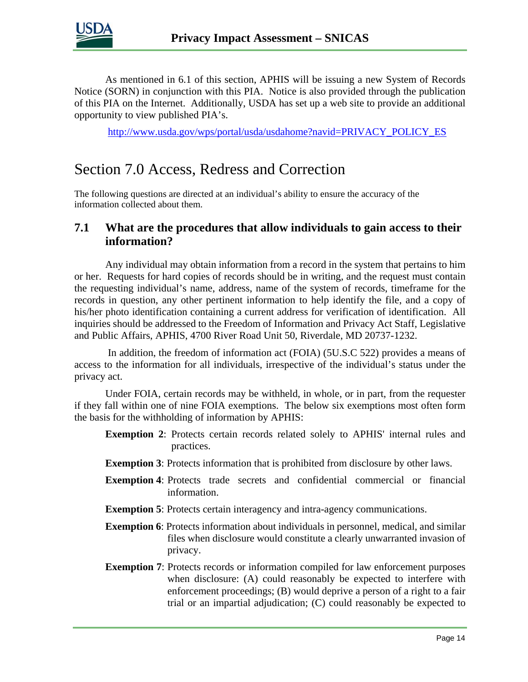

As mentioned in 6.1 of this section, APHIS will be issuing a new System of Records Notice (SORN) in conjunction with this PIA. Notice is also provided through the publication of this PIA on the Internet. Additionally, USDA has set up a web site to provide an additional opportunity to view published PIA's.

[http://www.usda.gov/wps/portal/usda/usdahome?navid=PRIVACY\\_POLICY\\_ES](http://www.usda.gov/wps/portal/usda/usdahome?navid=PRIVACY_POLICY_ES)

### Section 7.0 Access, Redress and Correction

The following questions are directed at an individual's ability to ensure the accuracy of the information collected about them.

#### **7.1 What are the procedures that allow individuals to gain access to their information?**

Any individual may obtain information from a record in the system that pertains to him or her. Requests for hard copies of records should be in writing, and the request must contain the requesting individual's name, address, name of the system of records, timeframe for the records in question, any other pertinent information to help identify the file, and a copy of his/her photo identification containing a current address for verification of identification. All inquiries should be addressed to the Freedom of Information and Privacy Act Staff, Legislative and Public Affairs, APHIS, 4700 River Road Unit 50, Riverdale, MD 20737-1232.

In addition, the freedom of information act (FOIA) (5U.S.C 522) provides a means of access to the information for all individuals, irrespective of the individual's status under the privacy act.

Under FOIA, certain records may be withheld, in whole, or in part, from the requester if they fall within one of nine FOIA exemptions. The below six exemptions most often form the basis for the withholding of information by APHIS:

- **Exemption 2**: Protects certain records related solely to APHIS' internal rules and practices.
- **Exemption 3**: Protects information that is prohibited from disclosure by other laws.
- **Exemption 4**: Protects trade secrets and confidential commercial or financial information.
- **Exemption 5**: Protects certain interagency and intra-agency communications.
- **Exemption 6**: Protects information about individuals in personnel, medical, and similar files when disclosure would constitute a clearly unwarranted invasion of privacy.
- **Exemption 7:** Protects records or information compiled for law enforcement purposes when disclosure: (A) could reasonably be expected to interfere with enforcement proceedings; (B) would deprive a person of a right to a fair trial or an impartial adjudication; (C) could reasonably be expected to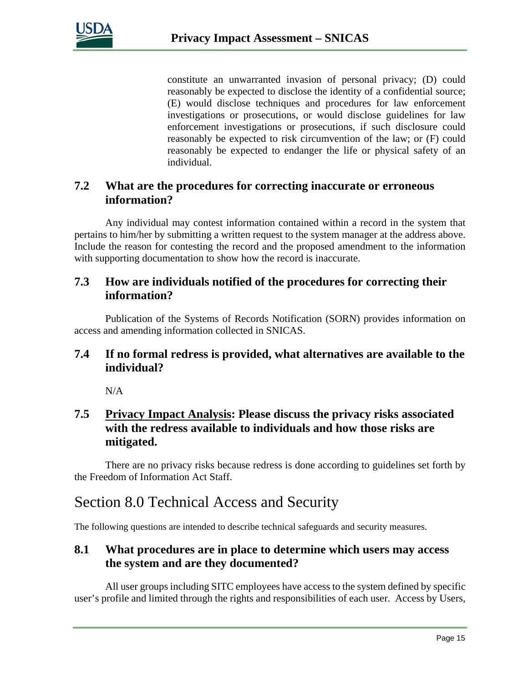

constitute an unwarranted invasion of personal privacy; (D) could reasonably be expected to disclose the identity of a confidential source; (E) would disclose techniques and procedures for law enforcement investigations or prosecutions, or would disclose guidelines for law enforcement investigations or prosecutions, if such disclosure could reasonably be expected to risk circumvention of the law; or (F) could reasonably be expected to endanger the life or physical safety of an individual.

#### **7.2 What are the procedures for correcting inaccurate or erroneous information?**

Any individual may contest information contained within a record in the system that pertains to him/her by submitting a written request to the system manager at the address above. Include the reason for contesting the record and the proposed amendment to the information with supporting documentation to show how the record is inaccurate.

#### **7.3 How are individuals notified of the procedures for correcting their information?**

Publication of the Systems of Records Notification (SORN) provides information on access and amending information collected in SNICAS.

#### **7.4 If no formal redress is provided, what alternatives are available to the individual?**

N/A

#### **7.5 Privacy Impact Analysis: Please discuss the privacy risks associated with the redress available to individuals and how those risks are mitigated.**

There are no privacy risks because redress is done according to guidelines set forth by the Freedom of Information Act Staff.

## Section 8.0 Technical Access and Security

The following questions are intended to describe technical safeguards and security measures.

#### **8.1 What procedures are in place to determine which users may access the system and are they documented?**

All user groups including SITC employees have access to the system defined by specific user's profile and limited through the rights and responsibilities of each user. Access by Users,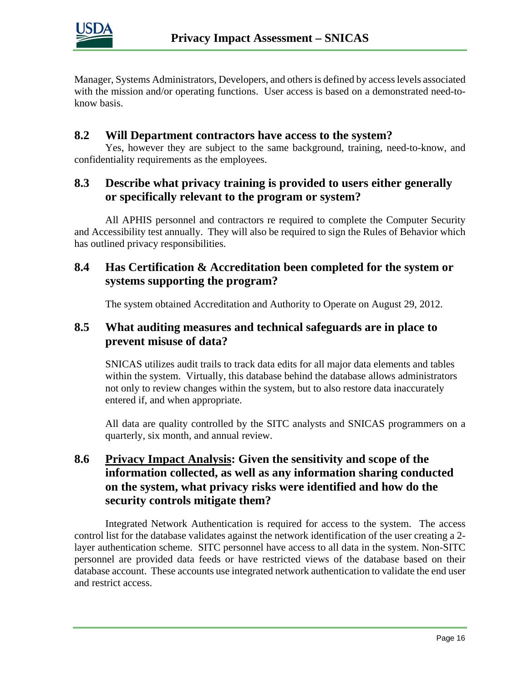

Manager, Systems Administrators, Developers, and others is defined by access levels associated with the mission and/or operating functions. User access is based on a demonstrated need-toknow basis.

#### **8.2 Will Department contractors have access to the system?**

Yes, however they are subject to the same background, training, need-to-know, and confidentiality requirements as the employees.

#### **8.3 Describe what privacy training is provided to users either generally or specifically relevant to the program or system?**

All APHIS personnel and contractors re required to complete the Computer Security and Accessibility test annually. They will also be required to sign the Rules of Behavior which has outlined privacy responsibilities.

#### **8.4 Has Certification & Accreditation been completed for the system or systems supporting the program?**

The system obtained Accreditation and Authority to Operate on August 29, 2012.

#### **8.5 What auditing measures and technical safeguards are in place to prevent misuse of data?**

SNICAS utilizes audit trails to track data edits for all major data elements and tables within the system. Virtually, this database behind the database allows administrators not only to review changes within the system, but to also restore data inaccurately entered if, and when appropriate.

All data are quality controlled by the SITC analysts and SNICAS programmers on a quarterly, six month, and annual review.

#### **8.6 Privacy Impact Analysis: Given the sensitivity and scope of the information collected, as well as any information sharing conducted on the system, what privacy risks were identified and how do the security controls mitigate them?**

Integrated Network Authentication is required for access to the system. The access control list for the database validates against the network identification of the user creating a 2 layer authentication scheme. SITC personnel have access to all data in the system. Non-SITC personnel are provided data feeds or have restricted views of the database based on their database account. These accounts use integrated network authentication to validate the end user and restrict access.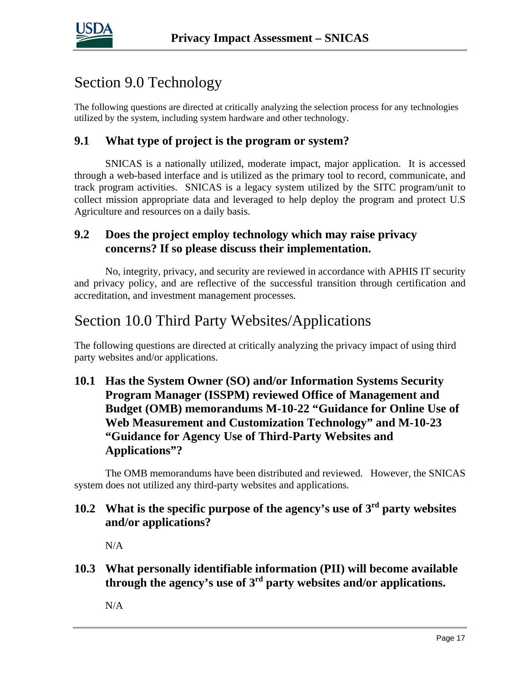

## Section 9.0 Technology

The following questions are directed at critically analyzing the selection process for any technologies utilized by the system, including system hardware and other technology.

#### **9.1 What type of project is the program or system?**

SNICAS is a nationally utilized, moderate impact, major application. It is accessed through a web-based interface and is utilized as the primary tool to record, communicate, and track program activities. SNICAS is a legacy system utilized by the SITC program/unit to collect mission appropriate data and leveraged to help deploy the program and protect U.S Agriculture and resources on a daily basis.

#### **9.2 Does the project employ technology which may raise privacy concerns? If so please discuss their implementation.**

No, integrity, privacy, and security are reviewed in accordance with APHIS IT security and privacy policy, and are reflective of the successful transition through certification and accreditation, and investment management processes*.*

## Section 10.0 Third Party Websites/Applications

The following questions are directed at critically analyzing the privacy impact of using third party websites and/or applications.

#### **10.1 Has the System Owner (SO) and/or Information Systems Security Program Manager (ISSPM) reviewed Office of Management and Budget (OMB) memorandums M-10-22 "Guidance for Online Use of Web Measurement and Customization Technology" and M-10-23 "Guidance for Agency Use of Third-Party Websites and Applications"?**

The OMB memorandums have been distributed and reviewed. However, the SNICAS system does not utilized any third-party websites and applications*.*

#### **10.2 What is the specific purpose of the agency's use of 3rd party websites and/or applications?**

N/A

**10.3 What personally identifiable information (PII) will become available through the agency's use of 3rd party websites and/or applications.**

N/A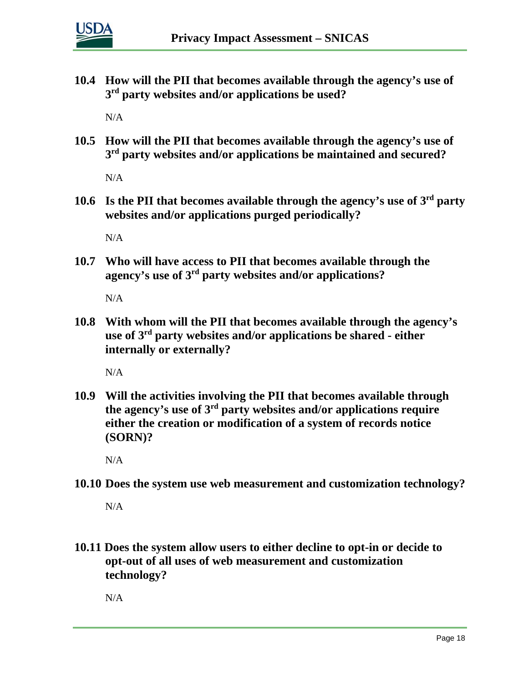

**10.4 How will the PII that becomes available through the agency's use of 3rd party websites and/or applications be used?**

N/A

**10.5 How will the PII that becomes available through the agency's use of 3rd party websites and/or applications be maintained and secured?**

 $N/A$ 

**10.6 Is the PII that becomes available through the agency's use of 3rd party websites and/or applications purged periodically?** 

 $N/A$ 

**10.7 Who will have access to PII that becomes available through the agency's use of 3rd party websites and/or applications?**

 $N/A$ 

**10.8 With whom will the PII that becomes available through the agency's use of 3rd party websites and/or applications be shared - either internally or externally?**

N/A

**10.9 Will the activities involving the PII that becomes available through the agency's use of 3rd party websites and/or applications require either the creation or modification of a system of records notice (SORN)?**

N/A

**10.10 Does the system use web measurement and customization technology?**

N/A

**10.11 Does the system allow users to either decline to opt-in or decide to opt-out of all uses of web measurement and customization technology?**

N/A